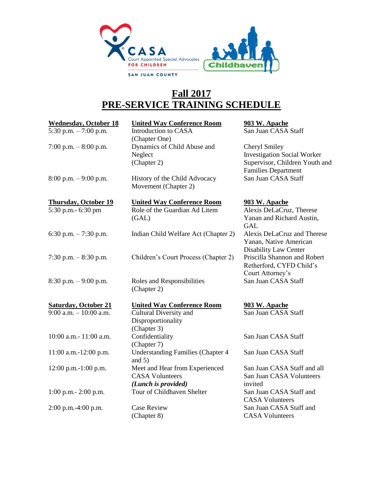

## **Fall 2017 PRE-SERVICE TRAINING SCHEDULE**

| <b>Wednesday, October 18</b> | <b>United Way Conference Room</b>                    | 903 W. Apache                      |
|------------------------------|------------------------------------------------------|------------------------------------|
| 5:30 p.m. $-7:00$ p.m.       | Introduction to CASA                                 | San Juan CASA Staff                |
|                              | (Chapter One)                                        |                                    |
| 7:00 p.m. $-8:00$ p.m.       | Dynamics of Child Abuse and                          | Cheryl Smiley                      |
|                              | Neglect                                              | <b>Investigation Social Worker</b> |
|                              | (Chapter 2)                                          | Supervisor, Children Youth and     |
|                              |                                                      | <b>Families Department</b>         |
| $8:00$ p.m. $-9:00$ p.m.     | History of the Child Advocacy                        | San Juan CASA Staff                |
|                              | Movement (Chapter 2)                                 |                                    |
| <b>Thursday, October 19</b>  | <b>United Way Conference Room</b>                    | 903 W. Apache                      |
| 5:30 p.m.- 6:30 pm           | Role of the Guardian Ad Litem                        | Alexis DeLaCruz, Therese           |
|                              | (GAL)                                                | Yanan and Richard Austin,          |
|                              |                                                      | <b>GAL</b>                         |
| 6:30 p.m. $-7:30$ p.m.       | Indian Child Welfare Act (Chapter 2)                 | Alexis DeLaCruz and Therese        |
|                              |                                                      | Yanan, Native American             |
|                              |                                                      | Disability Law Center              |
| 7:30 p.m. $-8:30$ p.m.       | Children's Court Process (Chapter 2)                 | Priscilla Shannon and Robert       |
|                              |                                                      | Retherford, CYFD Child's           |
|                              |                                                      | Court Attorney's                   |
| $8:30$ p.m. $-9:00$ p.m.     | Roles and Responsibilities                           | San Juan CASA Staff                |
|                              | (Chapter 2)                                          |                                    |
| <b>Saturday, October 21</b>  | <b>United Way Conference Room</b>                    | 903 W. Apache                      |
| $9:00$ a.m. $-10:00$ a.m.    | Cultural Diversity and                               | San Juan CASA Staff                |
|                              | Disproportionality                                   |                                    |
|                              | (Chapter 3)                                          |                                    |
| 10:00 a.m. - 11:00 a.m.      | Confidentiality                                      | San Juan CASA Staff                |
|                              | (Chapter 7)                                          |                                    |
| 11:00 a.m.-12:00 p.m.        | <b>Understanding Families (Chapter 4</b><br>and $5)$ | San Juan CASA Staff                |
| $12:00$ p.m.-1:00 p.m.       | Meet and Hear from Experienced                       | San Juan CASA Staff and all        |
|                              | <b>CASA Volunteers</b>                               | San Juan CASA Volunteers           |
|                              | (Lunch is provided)                                  | invited                            |
| $1:00$ p.m. $- 2:00$ p.m.    | Tour of Childhaven Shelter                           | San Juan CASA Staff and            |
|                              |                                                      | <b>CASA Volunteers</b>             |
| 2:00 p.m.-4:00 p.m.          | <b>Case Review</b>                                   | San Juan CASA Staff and            |
|                              | (Chapter 8)                                          | <b>CASA Volunteers</b>             |